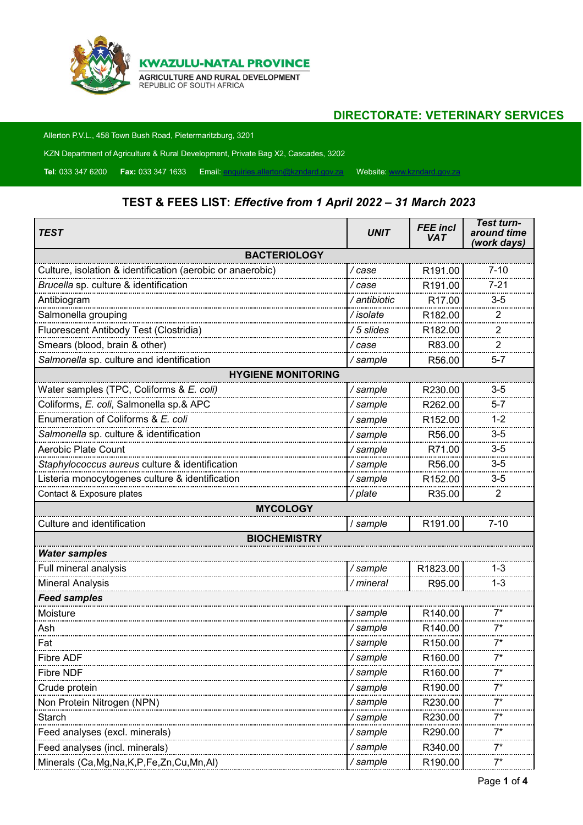

## **DIRECTORATE: VETERINARY SERVICES**

Allerton P.V.L., 458 Town Bush Road, Pietermaritzburg, 3201

KZN Department of Agriculture & Rural Development, Private Bag X2, Cascades, 3202

**Tel**: 033 347 6200 **Fax:** 033 347 1633 Email: [enquiries.allerton@kzndard.gov.za](mailto:enquiries.allerton@kzndard.gov.za) Website: [www.kzndard.gov.za](http://www.kzndard.gov.za/)

## **TEST & FEES LIST:** *Effective from 1 April 2022 – 31 March 2023*

| TEST                                                       | <b>UNIT</b>  | <b>FEE</b> incl<br><b>VAT</b> | <b>Test turn-</b><br>around time<br>(work days) |
|------------------------------------------------------------|--------------|-------------------------------|-------------------------------------------------|
| <b>BACTERIOLOGY</b>                                        |              |                               |                                                 |
| Culture, isolation & identification (aerobic or anaerobic) | / case       | R191.00                       | $7 - 10$                                        |
| Brucella sp. culture & identification                      | / case       | R191.00                       | $7 - 21$                                        |
| Antibiogram                                                | / antibiotic | R <sub>17.00</sub>            | $3-5$                                           |
| Salmonella grouping                                        | /isolate     | R182.00                       | 2                                               |
| Fluorescent Antibody Test (Clostridia)                     | /5 slides    | R182.00                       | 2                                               |
| Smears (blood, brain & other)                              | /case        | R83.00                        | 2                                               |
| Salmonella sp. culture and identification                  | / sample     | R56.00                        | $5 - 7$                                         |
| <b>HYGIENE MONITORING</b>                                  |              |                               |                                                 |
| Water samples (TPC, Coliforms & E. coli)                   | /sample      | R230.00                       | $3-5$                                           |
| Coliforms, E. coli, Salmonella sp.& APC                    | /sample      | R262.00                       | $5 - 7$                                         |
| Enumeration of Coliforms & E. coli                         | / sample     | R152.00                       | $1 - 2$                                         |
| Salmonella sp. culture & identification                    | /sample      | R56.00                        | $3-5$                                           |
| Aerobic Plate Count                                        | /sample      | R71.00                        | $3-5$                                           |
| Staphylococcus aureus culture & identification             | /sample      | R56.00                        | $3-5$                                           |
| Listeria monocytogenes culture & identification            | /sample      | R152.00                       | $3-5$                                           |
| Contact & Exposure plates                                  | /plate       | R35.00                        | 2                                               |
| <b>MYCOLOGY</b>                                            |              |                               |                                                 |
| Culture and identification                                 | / sample     | R191.00                       | $7 - 10$                                        |
| <b>BIOCHEMISTRY</b>                                        |              |                               |                                                 |
| <b>Water samples</b>                                       |              |                               |                                                 |
| Full mineral analysis                                      | /sample      | R1823.00                      | $1 - 3$                                         |
| Mineral Analysis                                           | / mineral    | R95.00                        | $1 - 3$                                         |
| Feed samples                                               |              |                               |                                                 |
| Moisture                                                   | /sample      | R140.00                       | $7^*$                                           |
| Ash                                                        | /sample      | R140.00                       | $7^*$                                           |
| Fat                                                        | / sample     | R <sub>150.00</sub>           | 7*                                              |
| Fibre ADF                                                  | /sample      | R160.00                       | 7*                                              |
| Fibre NDF                                                  | /sample      | R <sub>160.00</sub>           |                                                 |
| Crude protein                                              | / sample     | R <sub>190.00</sub>           |                                                 |
| Non Protein Nitrogen (NPN)                                 | / sample     | R230.00                       |                                                 |
| Starch                                                     | / sample     | R230.00                       |                                                 |
| Feed analyses (excl. minerals)                             | / sample     | R290.00                       | 7*                                              |
| Feed analyses (incl. minerals)                             | /sample      | R340.00                       |                                                 |
| Minerals (Ca, Mg, Na, K, P, Fe, Zn, Cu, Mn, Al)            | / sample     | R190.00                       | 7*                                              |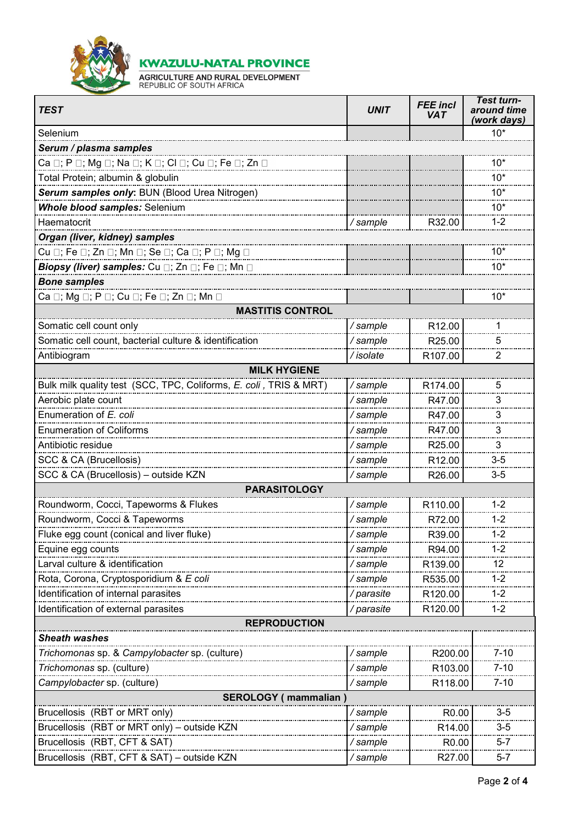

**KWAZULU-NATAL PROVINCE** 

**AGRICULTURE AND RURAL DEVELOPMENT**<br>REPUBLIC OF SOUTH AFRICA

| <b>TEST</b>                                                       | <b>UNIT</b> | <b>FEE</b> incl<br><b>VAT</b> | <b>Test turn-</b><br>around time<br>(work days) |
|-------------------------------------------------------------------|-------------|-------------------------------|-------------------------------------------------|
| Selenium                                                          |             |                               | $10*$                                           |
| Serum / plasma samples                                            |             |                               |                                                 |
|                                                                   |             |                               | $10*$                                           |
| Total Protein; albumin & globulin                                 |             |                               | $10*$                                           |
| Serum samples only: BUN (Blood Urea Nitrogen)                     |             |                               | $10*$                                           |
| Whole blood samples: Selenium                                     |             |                               | $10*$                                           |
| Haematocrit                                                       | / sample    | R32.00                        | $1 - 2$                                         |
| Organ (liver, kidney) samples                                     |             |                               |                                                 |
| Cu □; Fe □; Zn □; Mn □; Se □; Ca □; P □; Mg □                     |             |                               | $10*$                                           |
| <i>Biopsy (liver) samples:</i> Cu □; Zn □; Fe □; Mn □             |             |                               | $10*$                                           |
| <b>Bone samples</b>                                               |             |                               |                                                 |
| Ca □; Mg □; P □; Cu □; Fe □; Zn □; Mn □                           |             |                               | $10*$                                           |
| <b>MASTITIS CONTROL</b>                                           |             |                               |                                                 |
| Somatic cell count only                                           | /sample     | R12.00                        |                                                 |
| Somatic cell count, bacterial culture & identification            | /sample     | R25.00                        | 5                                               |
| Antibiogram                                                       | / isolate   | R <sub>107.00</sub>           | 2                                               |
| <b>MILK HYGIENE</b>                                               |             |                               |                                                 |
| Bulk milk quality test (SCC, TPC, Coliforms, E. coli, TRIS & MRT) | /sample     | R174.00                       | 5                                               |
| Aerobic plate count                                               | /sample     | R47.00                        | 3                                               |
| Enumeration of E. coli                                            | / sample    | R47.00                        | 3                                               |
| <b>Enumeration of Coliforms</b>                                   | /sample     | R47.00                        | 3                                               |
| Antibiotic residue                                                | /sample     | R <sub>25.00</sub>            | 3                                               |
| SCC & CA (Brucellosis)                                            | /sample     | R <sub>12.00</sub>            | $3-5$                                           |
| SCC & CA (Brucellosis) - outside KZN                              | / sample    | R26.00                        | $3-5$                                           |
| <b>PARASITOLOGY</b>                                               |             |                               |                                                 |
| Roundworm, Cocci, Tapeworms & Flukes                              | /sample     | R110.00                       | $1 - 2$                                         |
| Roundworm, Cocci & Tapeworms                                      | / sample    | R72.00                        | $1 - 2$                                         |
|                                                                   | /sample     | R39.00                        | $1 - 2$                                         |
| Equine egg counts                                                 | / sample    | R94.00                        | 1-2                                             |
| Larval culture & identification                                   | /sample     | R139.00                       | 12                                              |
| Rota, Corona, Cryptosporidium & E coli                            | / sample    | R535.00                       | $1 - 2$                                         |
| Identification of internal parasites                              | /parasite   | R120.00                       | $1 - 2$                                         |
| Identification of external parasites                              | / parasite  | R <sub>120.00</sub>           | 1-2                                             |
| <b>REPRODUCTION</b>                                               |             |                               |                                                 |
| <b>Sheath washes</b>                                              |             |                               |                                                 |
| Trichomonas sp. & Campylobacter sp. (culture)                     | /sample     | R200.00                       | $7 - 10$                                        |
| Trichomonas sp. (culture)                                         | / sample    | R103.00                       | 7-10                                            |
| Campylobacter sp. (culture)                                       | /sample     | R118.00                       | $7 - 10$                                        |
| <b>SEROLOGY</b> (mammalian)                                       |             |                               |                                                 |
| Brucellosis (RBT or MRT only)                                     | / sample    | R <sub>0.00</sub>             | $3 - 5$                                         |
| Brucellosis (RBT or MRT only) - outside KZN                       | / sample    | R14.00                        | $3 - 5$                                         |
| Brucellosis (RBT, CFT & SAT)                                      | / sample    | R <sub>0</sub> .00            | $5 - 7$                                         |
| Brucellosis (RBT, CFT & SAT) - outside KZN                        | / sample    | R27.00                        | $5 - 7$                                         |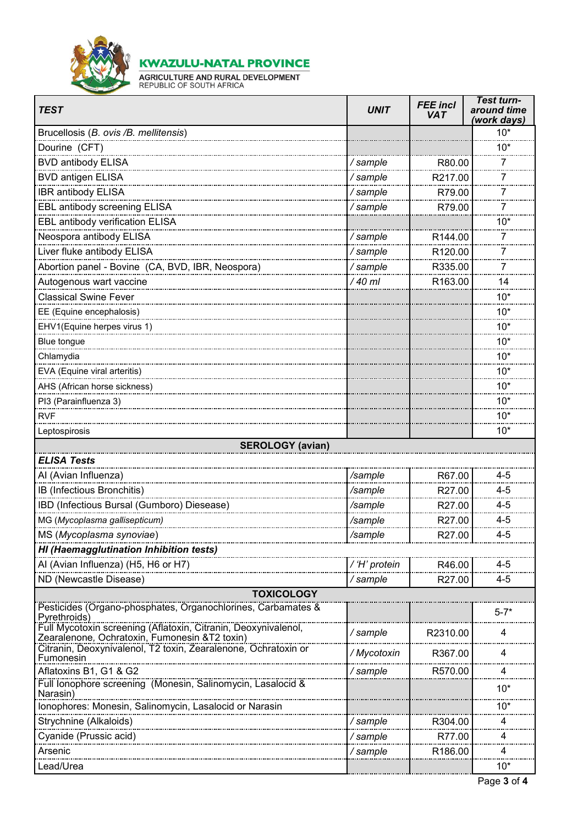

**KWAZULU-NATAL PROVINCE** 

**AGRICULTURE AND RURAL DEVELOPMENT**<br>REPUBLIC OF SOUTH AFRICA

| <b>TEST</b>                                                                                                     | <b>UNIT</b>   | <b>FEE</b> incl<br><b>VAT</b> | <b>Test turn-</b><br>around time<br>(work days) |
|-----------------------------------------------------------------------------------------------------------------|---------------|-------------------------------|-------------------------------------------------|
| Brucellosis (B. ovis /B. mellitensis)                                                                           |               |                               | $10*$                                           |
| Dourine (CFT)                                                                                                   |               |                               | $10*$                                           |
| <b>BVD antibody ELISA</b>                                                                                       | /sample       | R80.00                        | 7                                               |
| <b>BVD antigen ELISA</b>                                                                                        | / sample      | R217.00                       | 7                                               |
| IBR antibody ELISA                                                                                              | /sample       | R79.00                        | 7                                               |
| EBL antibody screening ELISA                                                                                    | / sample      | R79.00                        | 7                                               |
| EBL antibody verification ELISA                                                                                 |               |                               | $10*$                                           |
| Neospora antibody ELISA                                                                                         | / sample      | R <sub>144.00</sub>           | 7                                               |
| Liver fluke antibody ELISA                                                                                      | /sample       | R120.00                       | 7                                               |
| Abortion panel - Bovine (CA, BVD, IBR, Neospora)                                                                | /sample       | R335.00                       | 7                                               |
| Autogenous wart vaccine                                                                                         | / 40 ml       | R163.00                       | 14                                              |
| <b>Classical Swine Fever</b>                                                                                    |               |                               | $10*$                                           |
| EE (Equine encephalosis)                                                                                        |               |                               | $10*$                                           |
| EHV1(Equine herpes virus 1)                                                                                     |               |                               | $10*$                                           |
| Blue tongue                                                                                                     |               |                               | $10*$                                           |
| Chlamydia                                                                                                       |               |                               | $10*$                                           |
| EVA (Equine viral arteritis)                                                                                    |               |                               | $10*$                                           |
| AHS (African horse sickness)                                                                                    |               |                               | $10*$                                           |
| PI3 (Parainfluenza 3)                                                                                           |               |                               | $10*$                                           |
| <b>RVF</b>                                                                                                      |               |                               | $10*$                                           |
| Leptospirosis                                                                                                   |               |                               | $10*$                                           |
| <b>SEROLOGY (avian)</b>                                                                                         |               |                               |                                                 |
| <b>ELISA Tests</b>                                                                                              |               |                               |                                                 |
| Al (Avian Influenza)                                                                                            | /sample       | R67.00                        | $4 - 5$                                         |
| IB (Infectious Bronchitis)                                                                                      | /sample       | R27.00                        | $4 - 5$                                         |
| IBD (Infectious Bursal (Gumboro) Diesease)                                                                      | /sample       | R27.00                        | $4 - 5$                                         |
| MG (Mycoplasma gallisepticum)                                                                                   | /sample       | R27.00                        | $4 - 5$                                         |
| MS (Mycoplasma synoviae)                                                                                        | /sampie       | R27.00                        | $4 - 5$                                         |
| HI (Haemagglutination Inhibition tests)                                                                         |               |                               |                                                 |
| Al (Avian Influenza) (H5, H6 or H7)                                                                             | / 'H' protein | R46.00                        | $4 - 5$                                         |
| ND (Newcastle Disease)                                                                                          | /sample       | R27.00                        | $4 - 5$                                         |
| <b>TOXICOLOGY</b>                                                                                               |               |                               |                                                 |
| Pesticides (Organo-phosphates, Organochlorines, Carbamates &<br>Pyrethroids)                                    |               |                               | $5 - 7*$                                        |
| Full Mycotoxin screening (Aflatoxin, Citranin, Deoxynivalenol,<br>Zearalenone, Ochratoxin, Fumonesin &T2 toxin) | / sample      | R2310.00                      | 4                                               |
| Citranin, Deoxynivalenol, T2 toxin, Zearalenone, Ochratoxin or<br>Fumonesin                                     | / Mycotoxin   | R367.00                       | 4                                               |
| Aflatoxins B1, G1 & G2                                                                                          | / sample      | R570.00                       | 4                                               |
| Full lonophore screening (Monesin, Salinomycin, Lasalocid &<br>Narasin)                                         |               |                               | $10*$                                           |
| Ionophores: Monesin, Salinomycin, Lasalocid or Narasin                                                          |               |                               | 10*                                             |
| Strychnine (Alkaloids)                                                                                          | / sample      | R304.00                       | 4                                               |
| Cyanide (Prussic acid)                                                                                          | / sample      | R77.00                        | 4                                               |
| Arsenic                                                                                                         | / sample      | R <sub>186.00</sub>           | 4                                               |
| Lead/Urea                                                                                                       |               |                               | $10*$                                           |